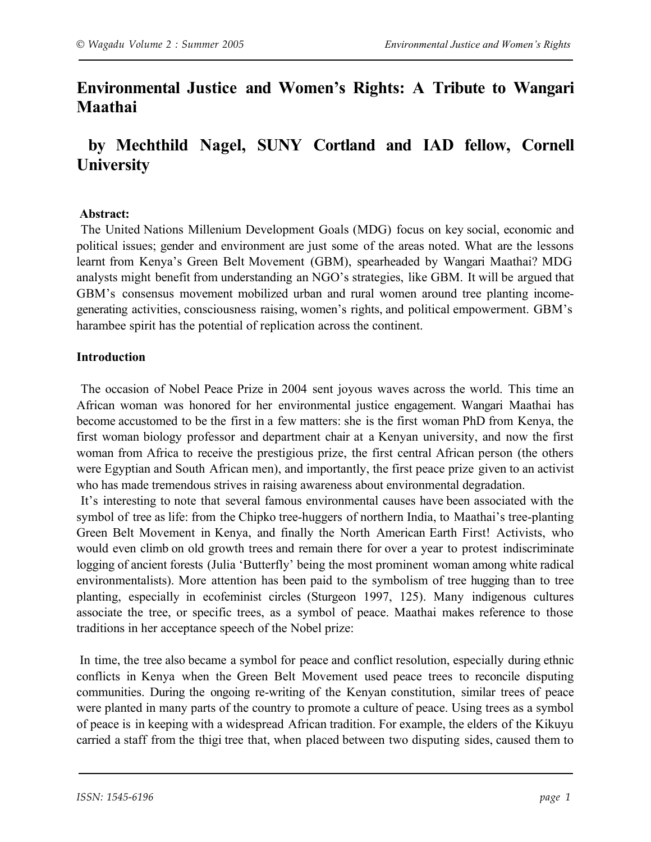# **Environmental Justice and Women's Rights: A Tribute to Wangari Maathai**

# **by Mechthild Nagel, SUNY Cortland and IAD fellow, Cornell University**

### **Abstract:**

The United Nations Millenium Development Goals (MDG) focus on key social, economic and political issues; gender and environment are just some of the areas noted. What are the lessons learnt from Kenya's Green Belt Movement (GBM), spearheaded by Wangari Maathai? MDG analysts might benefit from understanding an NGO's strategies, like GBM. It will be argued that GBM's consensus movement mobilized urban and rural women around tree planting incomegenerating activities, consciousness raising, women's rights, and political empowerment. GBM's harambee spirit has the potential of replication across the continent.

## **Introduction**

The occasion of Nobel Peace Prize in 2004 sent joyous waves across the world. This time an African woman was honored for her environmental justice engagement. Wangari Maathai has become accustomed to be the first in a few matters: she is the first woman PhD from Kenya, the first woman biology professor and department chair at a Kenyan university, and now the first woman from Africa to receive the prestigious prize, the first central African person (the others were Egyptian and South African men), and importantly, the first peace prize given to an activist who has made tremendous strives in raising awareness about environmental degradation.

It's interesting to note that several famous environmental causes have been associated with the symbol of tree as life: from the Chipko tree-huggers of northern India, to Maathai's tree-planting Green Belt Movement in Kenya, and finally the North American Earth First! Activists, who would even climb on old growth trees and remain there for over a year to protest indiscriminate logging of ancient forests (Julia 'Butterfly' being the most prominent woman among white radical environmentalists). More attention has been paid to the symbolism of tree hugging than to tree planting, especially in ecofeminist circles (Sturgeon 1997, 125). Many indigenous cultures associate the tree, or specific trees, as a symbol of peace. Maathai makes reference to those traditions in her acceptance speech of the Nobel prize:

 In time, the tree also became a symbol for peace and conflict resolution, especially during ethnic conflicts in Kenya when the Green Belt Movement used peace trees to reconcile disputing communities. During the ongoing re-writing of the Kenyan constitution, similar trees of peace were planted in many parts of the country to promote a culture of peace. Using trees as a symbol of peace is in keeping with a widespread African tradition. For example, the elders of the Kikuyu carried a staff from the thigi tree that, when placed between two disputing sides, caused them to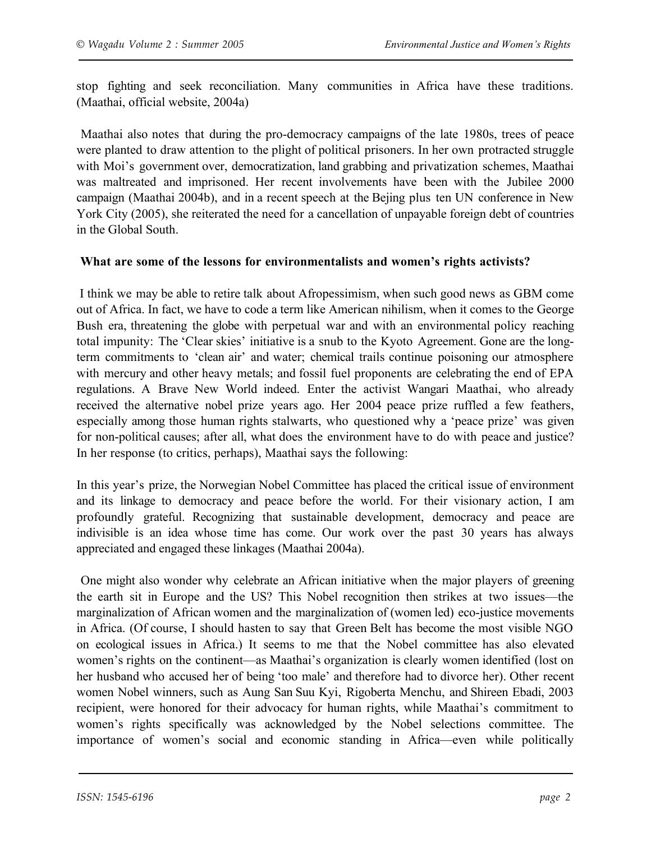stop fighting and seek reconciliation. Many communities in Africa have these traditions. (Maathai, official website, 2004a)

Maathai also notes that during the pro-democracy campaigns of the late 1980s, trees of peace were planted to draw attention to the plight of political prisoners. In her own protracted struggle with Moi's government over, democratization, land grabbing and privatization schemes, Maathai was maltreated and imprisoned. Her recent involvements have been with the Jubilee 2000 campaign (Maathai 2004b), and in a recent speech at the Bejing plus ten UN conference in New York City (2005), she reiterated the need for a cancellation of unpayable foreign debt of countries in the Global South.

#### **What are some of the lessons for environmentalists and women's rights activists?**

I think we may be able to retire talk about Afropessimism, when such good news as GBM come out of Africa. In fact, we have to code a term like American nihilism, when it comes to the George Bush era, threatening the globe with perpetual war and with an environmental policy reaching total impunity: The 'Clear skies' initiative is a snub to the Kyoto Agreement. Gone are the longterm commitments to 'clean air' and water; chemical trails continue poisoning our atmosphere with mercury and other heavy metals; and fossil fuel proponents are celebrating the end of EPA regulations. A Brave New World indeed. Enter the activist Wangari Maathai, who already received the alternative nobel prize years ago. Her 2004 peace prize ruffled a few feathers, especially among those human rights stalwarts, who questioned why a 'peace prize' was given for non-political causes; after all, what does the environment have to do with peace and justice? In her response (to critics, perhaps), Maathai says the following:

In this year's prize, the Norwegian Nobel Committee has placed the critical issue of environment and its linkage to democracy and peace before the world. For their visionary action, I am profoundly grateful. Recognizing that sustainable development, democracy and peace are indivisible is an idea whose time has come. Our work over the past 30 years has always appreciated and engaged these linkages (Maathai 2004a).

One might also wonder why celebrate an African initiative when the major players of greening the earth sit in Europe and the US? This Nobel recognition then strikes at two issues—the marginalization of African women and the marginalization of (women led) eco-justice movements in Africa. (Of course, I should hasten to say that Green Belt has become the most visible NGO on ecological issues in Africa.) It seems to me that the Nobel committee has also elevated women's rights on the continent—as Maathai's organization is clearly women identified (lost on her husband who accused her of being 'too male' and therefore had to divorce her). Other recent women Nobel winners, such as Aung San Suu Kyi, Rigoberta Menchu, and Shireen Ebadi, 2003 recipient, were honored for their advocacy for human rights, while Maathai's commitment to women's rights specifically was acknowledged by the Nobel selections committee. The importance of women's social and economic standing in Africa—even while politically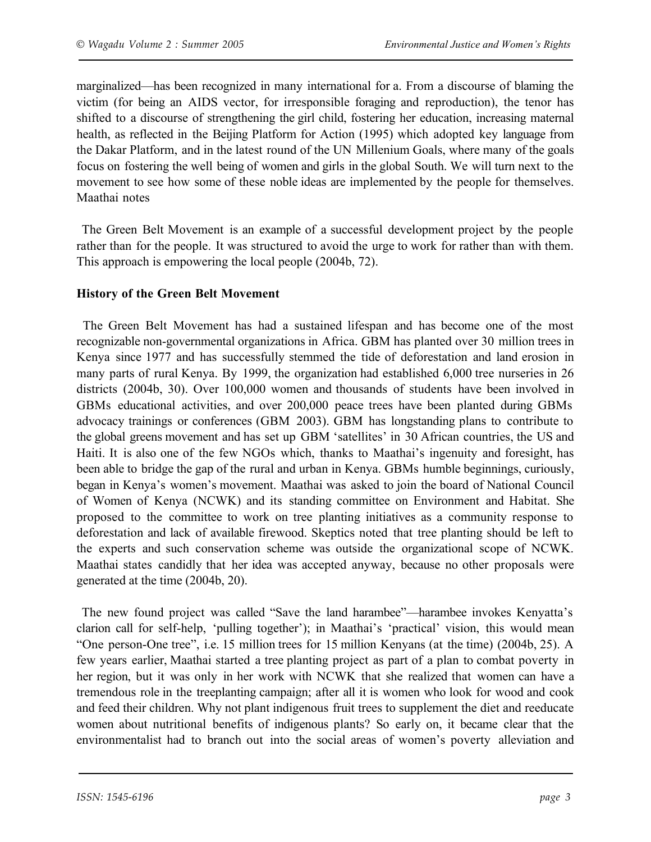marginalized—has been recognized in many international for a. From a discourse of blaming the victim (for being an AIDS vector, for irresponsible foraging and reproduction), the tenor has shifted to a discourse of strengthening the girl child, fostering her education, increasing maternal health, as reflected in the Beijing Platform for Action (1995) which adopted key language from the Dakar Platform, and in the latest round of the UN Millenium Goals, where many of the goals focus on fostering the well being of women and girls in the global South. We will turn next to the movement to see how some of these noble ideas are implemented by the people for themselves. Maathai notes

The Green Belt Movement is an example of a successful development project by the people rather than for the people. It was structured to avoid the urge to work for rather than with them. This approach is empowering the local people (2004b, 72).

### **History of the Green Belt Movement**

The Green Belt Movement has had a sustained lifespan and has become one of the most recognizable non-governmental organizations in Africa. GBM has planted over 30 million trees in Kenya since 1977 and has successfully stemmed the tide of deforestation and land erosion in many parts of rural Kenya. By 1999, the organization had established 6,000 tree nurseries in 26 districts (2004b, 30). Over 100,000 women and thousands of students have been involved in GBMs educational activities, and over 200,000 peace trees have been planted during GBMs advocacy trainings or conferences (GBM 2003). GBM has longstanding plans to contribute to the global greens movement and has set up GBM 'satellites' in 30 African countries, the US and Haiti. It is also one of the few NGOs which, thanks to Maathai's ingenuity and foresight, has been able to bridge the gap of the rural and urban in Kenya. GBMs humble beginnings, curiously, began in Kenya's women's movement. Maathai was asked to join the board of National Council of Women of Kenya (NCWK) and its standing committee on Environment and Habitat. She proposed to the committee to work on tree planting initiatives as a community response to deforestation and lack of available firewood. Skeptics noted that tree planting should be left to the experts and such conservation scheme was outside the organizational scope of NCWK. Maathai states candidly that her idea was accepted anyway, because no other proposals were generated at the time (2004b, 20).

The new found project was called "Save the land harambee"—harambee invokes Kenyatta's clarion call for self-help, 'pulling together'); in Maathai's 'practical' vision, this would mean "One person-One tree", i.e. 15 million trees for 15 million Kenyans (at the time) (2004b, 25). A few years earlier, Maathai started a tree planting project as part of a plan to combat poverty in her region, but it was only in her work with NCWK that she realized that women can have a tremendous role in the treeplanting campaign; after all it is women who look for wood and cook and feed their children. Why not plant indigenous fruit trees to supplement the diet and reeducate women about nutritional benefits of indigenous plants? So early on, it became clear that the environmentalist had to branch out into the social areas of women's poverty alleviation and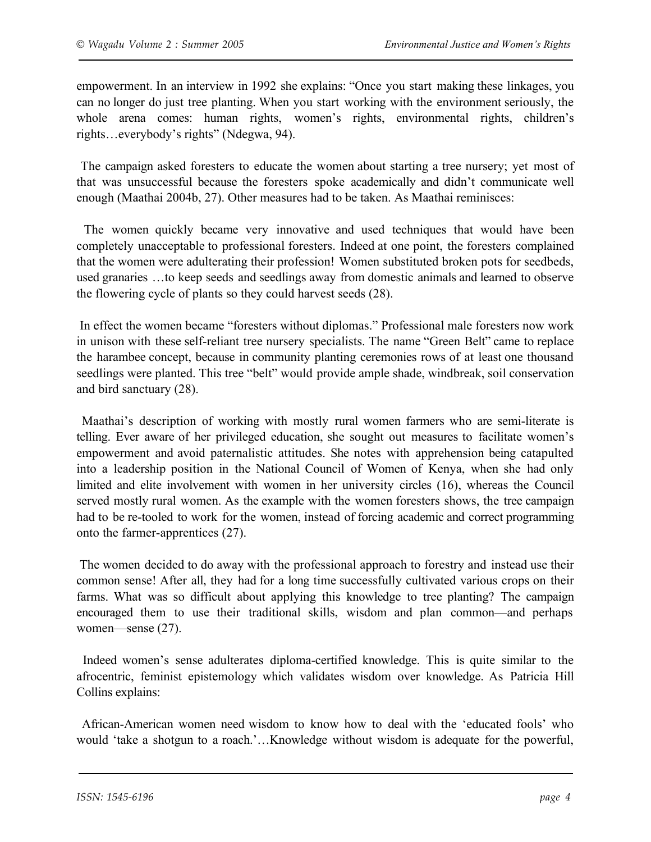empowerment. In an interview in 1992 she explains: "Once you start making these linkages, you can no longer do just tree planting. When you start working with the environment seriously, the whole arena comes: human rights, women's rights, environmental rights, children's rights…everybody's rights" (Ndegwa, 94).

The campaign asked foresters to educate the women about starting a tree nursery; yet most of that was unsuccessful because the foresters spoke academically and didn't communicate well enough (Maathai 2004b, 27). Other measures had to be taken. As Maathai reminisces:

The women quickly became very innovative and used techniques that would have been completely unacceptable to professional foresters. Indeed at one point, the foresters complained that the women were adulterating their profession! Women substituted broken pots for seedbeds, used granaries …to keep seeds and seedlings away from domestic animals and learned to observe the flowering cycle of plants so they could harvest seeds (28).

In effect the women became "foresters without diplomas." Professional male foresters now work in unison with these self-reliant tree nursery specialists. The name "Green Belt" came to replace the harambee concept, because in community planting ceremonies rows of at least one thousand seedlings were planted. This tree "belt" would provide ample shade, windbreak, soil conservation and bird sanctuary (28).

Maathai's description of working with mostly rural women farmers who are semi-literate is telling. Ever aware of her privileged education, she sought out measures to facilitate women's empowerment and avoid paternalistic attitudes. She notes with apprehension being catapulted into a leadership position in the National Council of Women of Kenya, when she had only limited and elite involvement with women in her university circles (16), whereas the Council served mostly rural women. As the example with the women foresters shows, the tree campaign had to be re-tooled to work for the women, instead of forcing academic and correct programming onto the farmer-apprentices (27).

 The women decided to do away with the professional approach to forestry and instead use their common sense! After all, they had for a long time successfully cultivated various crops on their farms. What was so difficult about applying this knowledge to tree planting? The campaign encouraged them to use their traditional skills, wisdom and plan common—and perhaps women—sense (27).

Indeed women's sense adulterates diploma-certified knowledge. This is quite similar to the afrocentric, feminist epistemology which validates wisdom over knowledge. As Patricia Hill Collins explains:

African-American women need wisdom to know how to deal with the 'educated fools' who would 'take a shotgun to a roach.'…Knowledge without wisdom is adequate for the powerful,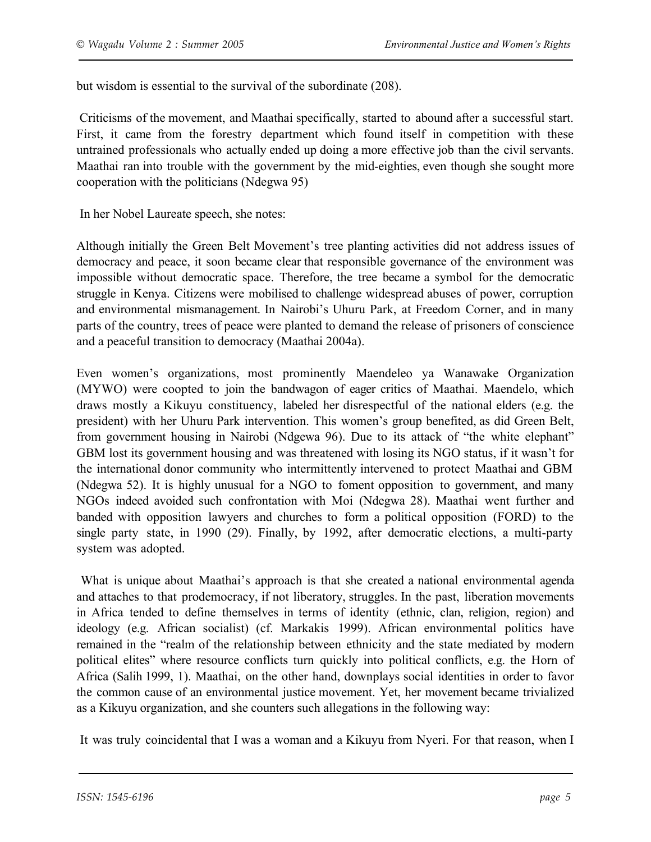but wisdom is essential to the survival of the subordinate (208).

 Criticisms of the movement, and Maathai specifically, started to abound after a successful start. First, it came from the forestry department which found itself in competition with these untrained professionals who actually ended up doing a more effective job than the civil servants. Maathai ran into trouble with the government by the mid-eighties, even though she sought more cooperation with the politicians (Ndegwa 95)

In her Nobel Laureate speech, she notes:

Although initially the Green Belt Movement's tree planting activities did not address issues of democracy and peace, it soon became clear that responsible governance of the environment was impossible without democratic space. Therefore, the tree became a symbol for the democratic struggle in Kenya. Citizens were mobilised to challenge widespread abuses of power, corruption and environmental mismanagement. In Nairobi's Uhuru Park, at Freedom Corner, and in many parts of the country, trees of peace were planted to demand the release of prisoners of conscience and a peaceful transition to democracy (Maathai 2004a).

Even women's organizations, most prominently Maendeleo ya Wanawake Organization (MYWO) were coopted to join the bandwagon of eager critics of Maathai. Maendelo, which draws mostly a Kikuyu constituency, labeled her disrespectful of the national elders (e.g. the president) with her Uhuru Park intervention. This women's group benefited, as did Green Belt, from government housing in Nairobi (Ndgewa 96). Due to its attack of "the white elephant" GBM lost its government housing and was threatened with losing its NGO status, if it wasn't for the international donor community who intermittently intervened to protect Maathai and GBM (Ndegwa 52). It is highly unusual for a NGO to foment opposition to government, and many NGOs indeed avoided such confrontation with Moi (Ndegwa 28). Maathai went further and banded with opposition lawyers and churches to form a political opposition (FORD) to the single party state, in 1990 (29). Finally, by 1992, after democratic elections, a multi-party system was adopted.

What is unique about Maathai's approach is that she created a national environmental agenda and attaches to that prodemocracy, if not liberatory, struggles. In the past, liberation movements in Africa tended to define themselves in terms of identity (ethnic, clan, religion, region) and ideology (e.g. African socialist) (cf. Markakis 1999). African environmental politics have remained in the "realm of the relationship between ethnicity and the state mediated by modern political elites" where resource conflicts turn quickly into political conflicts, e.g. the Horn of Africa (Salih 1999, 1). Maathai, on the other hand, downplays social identities in order to favor the common cause of an environmental justice movement. Yet, her movement became trivialized as a Kikuyu organization, and she counters such allegations in the following way:

It was truly coincidental that I was a woman and a Kikuyu from Nyeri. For that reason, when I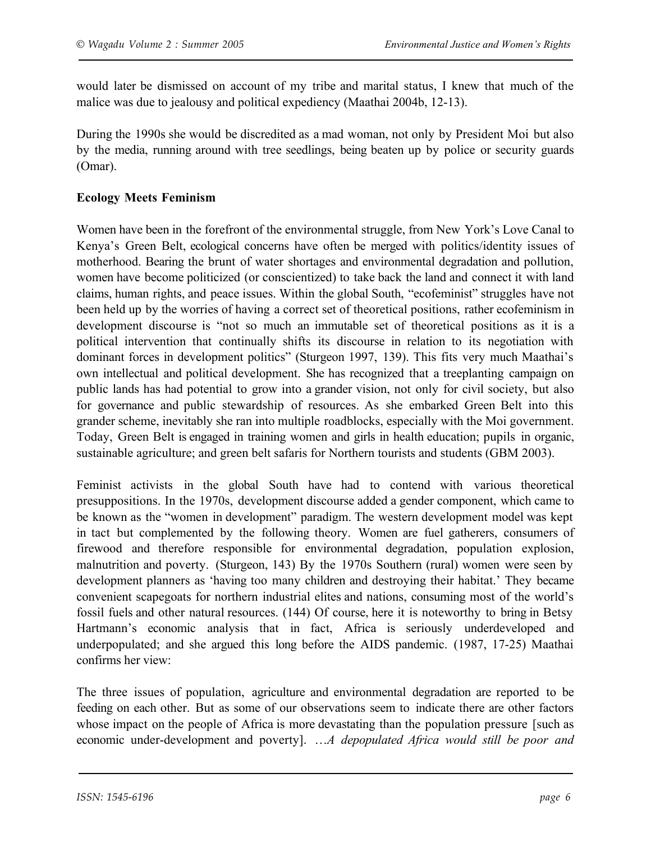would later be dismissed on account of my tribe and marital status, I knew that much of the malice was due to jealousy and political expediency (Maathai 2004b, 12-13).

During the 1990s she would be discredited as a mad woman, not only by President Moi but also by the media, running around with tree seedlings, being beaten up by police or security guards (Omar).

## **Ecology Meets Feminism**

Women have been in the forefront of the environmental struggle, from New York's Love Canal to Kenya's Green Belt, ecological concerns have often be merged with politics/identity issues of motherhood. Bearing the brunt of water shortages and environmental degradation and pollution, women have become politicized (or conscientized) to take back the land and connect it with land claims, human rights, and peace issues. Within the global South, "ecofeminist" struggles have not been held up by the worries of having a correct set of theoretical positions, rather ecofeminism in development discourse is "not so much an immutable set of theoretical positions as it is a political intervention that continually shifts its discourse in relation to its negotiation with dominant forces in development politics" (Sturgeon 1997, 139). This fits very much Maathai's own intellectual and political development. She has recognized that a treeplanting campaign on public lands has had potential to grow into a grander vision, not only for civil society, but also for governance and public stewardship of resources. As she embarked Green Belt into this grander scheme, inevitably she ran into multiple roadblocks, especially with the Moi government. Today, Green Belt is engaged in training women and girls in health education; pupils in organic, sustainable agriculture; and green belt safaris for Northern tourists and students (GBM 2003).

Feminist activists in the global South have had to contend with various theoretical presuppositions. In the 1970s, development discourse added a gender component, which came to be known as the "women in development" paradigm. The western development model was kept in tact but complemented by the following theory. Women are fuel gatherers, consumers of firewood and therefore responsible for environmental degradation, population explosion, malnutrition and poverty. (Sturgeon, 143) By the 1970s Southern (rural) women were seen by development planners as 'having too many children and destroying their habitat.' They became convenient scapegoats for northern industrial elites and nations, consuming most of the world's fossil fuels and other natural resources. (144) Of course, here it is noteworthy to bring in Betsy Hartmann's economic analysis that in fact, Africa is seriously underdeveloped and underpopulated; and she argued this long before the AIDS pandemic. (1987, 17-25) Maathai confirms her view:

The three issues of population, agriculture and environmental degradation are reported to be feeding on each other. But as some of our observations seem to indicate there are other factors whose impact on the people of Africa is more devastating than the population pressure [such as economic under-development and poverty]. …*A depopulated Africa would still be poor and*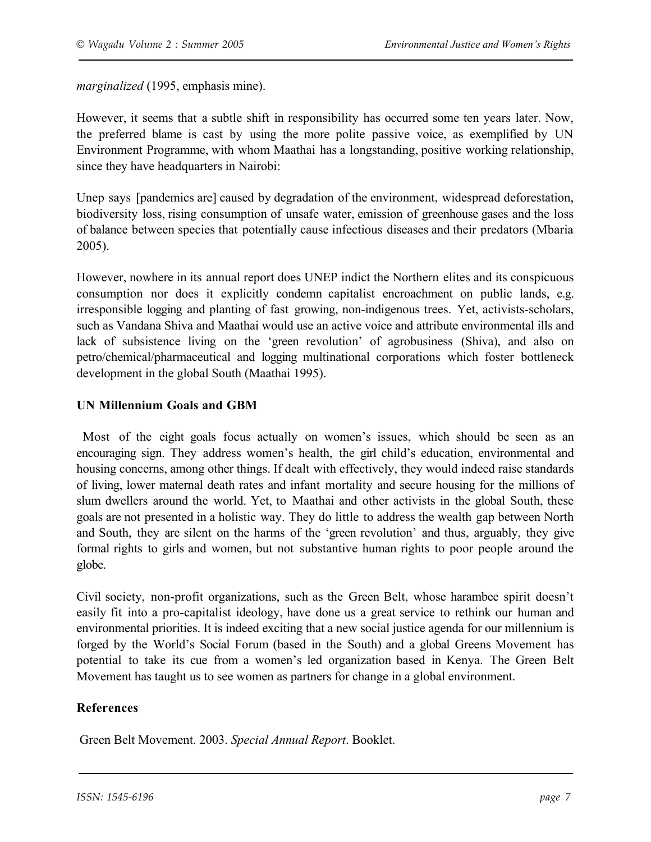*marginalized* (1995, emphasis mine).

However, it seems that a subtle shift in responsibility has occurred some ten years later. Now, the preferred blame is cast by using the more polite passive voice, as exemplified by UN Environment Programme, with whom Maathai has a longstanding, positive working relationship, since they have headquarters in Nairobi:

Unep says [pandemics are] caused by degradation of the environment, widespread deforestation, biodiversity loss, rising consumption of unsafe water, emission of greenhouse gases and the loss of balance between species that potentially cause infectious diseases and their predators (Mbaria 2005).

However, nowhere in its annual report does UNEP indict the Northern elites and its conspicuous consumption nor does it explicitly condemn capitalist encroachment on public lands, e.g. irresponsible logging and planting of fast growing, non-indigenous trees. Yet, activists-scholars, such as Vandana Shiva and Maathai would use an active voice and attribute environmental ills and lack of subsistence living on the 'green revolution' of agrobusiness (Shiva), and also on petro/chemical/pharmaceutical and logging multinational corporations which foster bottleneck development in the global South (Maathai 1995).

## **UN Millennium Goals and GBM**

Most of the eight goals focus actually on women's issues, which should be seen as an encouraging sign. They address women's health, the girl child's education, environmental and housing concerns, among other things. If dealt with effectively, they would indeed raise standards of living, lower maternal death rates and infant mortality and secure housing for the millions of slum dwellers around the world. Yet, to Maathai and other activists in the global South, these goals are not presented in a holistic way. They do little to address the wealth gap between North and South, they are silent on the harms of the 'green revolution' and thus, arguably, they give formal rights to girls and women, but not substantive human rights to poor people around the globe.

Civil society, non-profit organizations, such as the Green Belt, whose harambee spirit doesn't easily fit into a pro-capitalist ideology, have done us a great service to rethink our human and environmental priorities. It is indeed exciting that a new social justice agenda for our millennium is forged by the World's Social Forum (based in the South) and a global Greens Movement has potential to take its cue from a women's led organization based in Kenya. The Green Belt Movement has taught us to see women as partners for change in a global environment.

# **References**

Green Belt Movement. 2003. *Special Annual Report*. Booklet.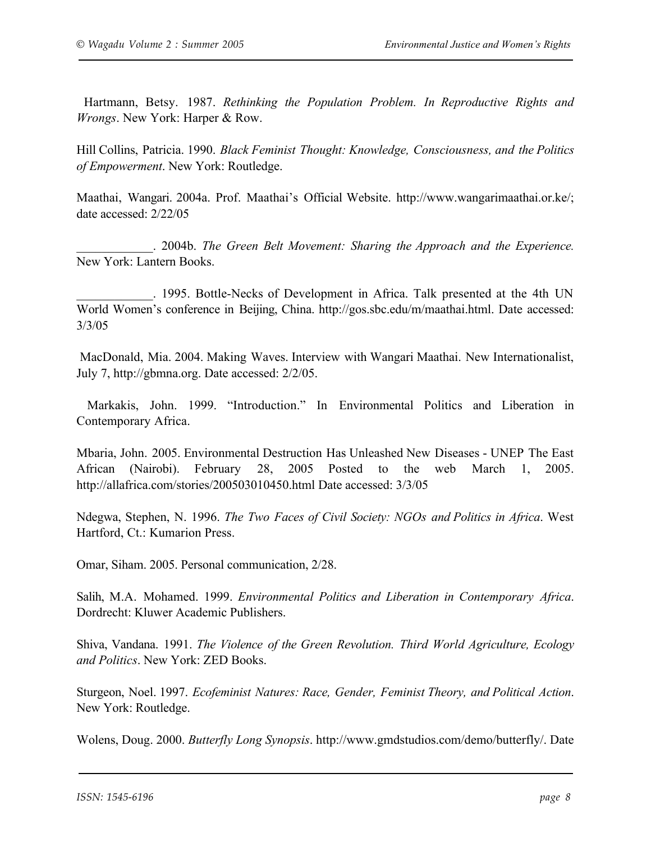Hartmann, Betsy. 1987. *Rethinking the Population Problem. In Reproductive Rights and Wrongs*. New York: Harper & Row.

Hill Collins, Patricia. 1990. *Black Feminist Thought: Knowledge, Consciousness, and the Politics of Empowerment*. New York: Routledge.

Maathai, Wangari. 2004a. Prof. Maathai's Official Website. http://www.wangarimaathai.or.ke/; date accessed: 2/22/05

\_\_\_\_\_\_\_\_\_\_\_\_. 2004b. *The Green Belt Movement: Sharing the Approach and the Experience.* New York: Lantern Books.

\_\_\_\_\_\_\_\_\_\_\_\_. 1995. Bottle-Necks of Development in Africa. Talk presented at the 4th UN World Women's conference in Beijing, China. http://gos.sbc.edu/m/maathai.html. Date accessed: 3/3/05

MacDonald, Mia. 2004. Making Waves. Interview with Wangari Maathai. New Internationalist, July 7, http://gbmna.org. Date accessed: 2/2/05.

Markakis, John. 1999. "Introduction." In Environmental Politics and Liberation in Contemporary Africa.

Mbaria, John. 2005. Environmental Destruction Has Unleashed New Diseases - UNEP The East African (Nairobi). February 28, 2005 Posted to the web March 1, 2005. http://allafrica.com/stories/200503010450.html Date accessed: 3/3/05

Ndegwa, Stephen, N. 1996. *The Two Faces of Civil Society: NGOs and Politics in Africa*. West Hartford, Ct.: Kumarion Press.

Omar, Siham. 2005. Personal communication, 2/28.

Salih, M.A. Mohamed. 1999. *Environmental Politics and Liberation in Contemporary Africa*. Dordrecht: Kluwer Academic Publishers.

Shiva, Vandana. 1991. *The Violence of the Green Revolution. Third World Agriculture, Ecology and Politics*. New York: ZED Books.

Sturgeon, Noel. 1997. *Ecofeminist Natures: Race, Gender, Feminist Theory, and Political Action*. New York: Routledge.

Wolens, Doug. 2000. *Butterfly Long Synopsis*. http://www.gmdstudios.com/demo/butterfly/. Date